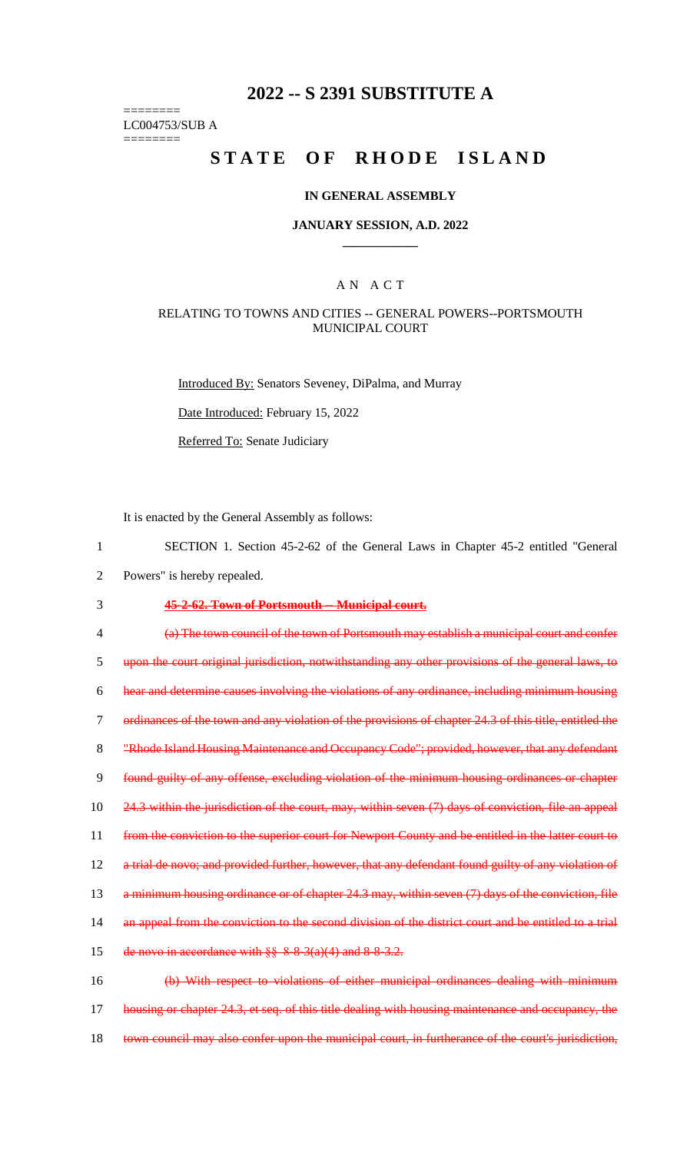# **2022 -- S 2391 SUBSTITUTE A**

======== LC004753/SUB A

========

# **STATE OF RHODE ISLAND**

#### **IN GENERAL ASSEMBLY**

#### **JANUARY SESSION, A.D. 2022 \_\_\_\_\_\_\_\_\_\_\_\_**

## A N A C T

#### RELATING TO TOWNS AND CITIES -- GENERAL POWERS--PORTSMOUTH MUNICIPAL COURT

Introduced By: Senators Seveney, DiPalma, and Murray

Date Introduced: February 15, 2022

Referred To: Senate Judiciary

It is enacted by the General Assembly as follows:

- 1 SECTION 1. Section 45-2-62 of the General Laws in Chapter 45-2 entitled "General
- 2 Powers" is hereby repealed.

#### 3 **45-2-62. Town of Portsmouth -- Municipal court.**

4 (a) The town council of the town of Portsmouth may establish a municipal court and confer 5 upon the court original jurisdiction, notwithstanding any other provisions of the general laws, to 6 hear and determine causes involving the violations of any ordinance, including minimum housing 7 ordinances of the town and any violation of the provisions of chapter 24.3 of this title, entitled the 8 "Rhode Island Housing Maintenance and Occupancy Code"; provided, however, that any defendant 9 found guilty of any offense, excluding violation of the minimum housing ordinances or chapter 10 24.3 within the jurisdiction of the court, may, within seven (7) days of conviction, file an appeal 11 from the conviction to the superior court for Newport County and be entitled in the latter court to 12 a trial de novo; and provided further, however, that any defendant found guilty of any violation of 13 a minimum housing ordinance or of chapter 24.3 may, within seven (7) days of the conviction, file 14 an appeal from the conviction to the second division of the district court and be entitled to a trial 15 de novo in accordance with  $\S$ § 8-8-3(a)(4) and 8-8-3.2. 16 (b) With respect to violations of either municipal ordinances dealing with minimum 17 housing or chapter 24.3, et seq. of this title dealing with housing maintenance and occupancy, the

18 town council may also confer upon the municipal court, in furtherance of the court's jurisdiction,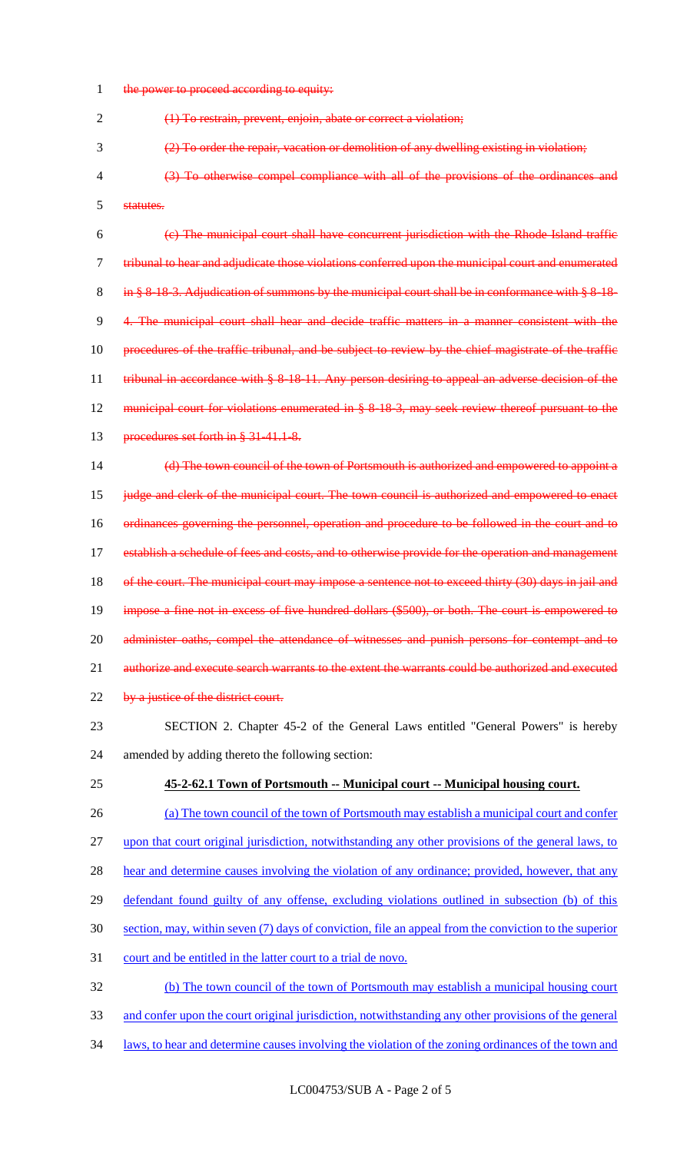1 the power to proceed according to equity:

(1) To restrain, prevent, enjoin, abate or correct a violation;

(2) To order the repair, vacation or demolition of any dwelling existing in violation;

 (3) To otherwise compel compliance with all of the provisions of the ordinances and statutes.

 (c) The municipal court shall have concurrent jurisdiction with the Rhode Island traffic tribunal to hear and adjudicate those violations conferred upon the municipal court and enumerated 8 in § 8-18-3. Adjudication of summons by the municipal court shall be in conformance with § 8-18- 4. The municipal court shall hear and decide traffic matters in a manner consistent with the procedures of the traffic tribunal, and be subject to review by the chief magistrate of the traffic 11 tribunal in accordance with § 8-18-11. Any person desiring to appeal an adverse decision of the municipal court for violations enumerated in § 8-18-3, may seek review thereof pursuant to the 13 procedures set forth in § 31-41.1-8.

 (d) The town council of the town of Portsmouth is authorized and empowered to appoint a judge and clerk of the municipal court. The town council is authorized and empowered to enact ordinances governing the personnel, operation and procedure to be followed in the court and to 17 establish a schedule of fees and costs, and to otherwise provide for the operation and management 18 of the court. The municipal court may impose a sentence not to exceed thirty (30) days in jail and 19 impose a fine not in excess of five hundred dollars (\$500), or both. The court is empowered to 20 administer oaths, compel the attendance of witnesses and punish persons for contempt and to authorize and execute search warrants to the extent the warrants could be authorized and executed 22 by a justice of the district court.

- SECTION 2. Chapter 45-2 of the General Laws entitled "General Powers" is hereby amended by adding thereto the following section:
- **45-2-62.1 Town of Portsmouth -- Municipal court -- Municipal housing court.**
- (a) The town council of the town of Portsmouth may establish a municipal court and confer upon that court original jurisdiction, notwithstanding any other provisions of the general laws, to 28 hear and determine causes involving the violation of any ordinance; provided, however, that any defendant found guilty of any offense, excluding violations outlined in subsection (b) of this section, may, within seven (7) days of conviction, file an appeal from the conviction to the superior court and be entitled in the latter court to a trial de novo. (b) The town council of the town of Portsmouth may establish a municipal housing court
- and confer upon the court original jurisdiction, notwithstanding any other provisions of the general
- laws, to hear and determine causes involving the violation of the zoning ordinances of the town and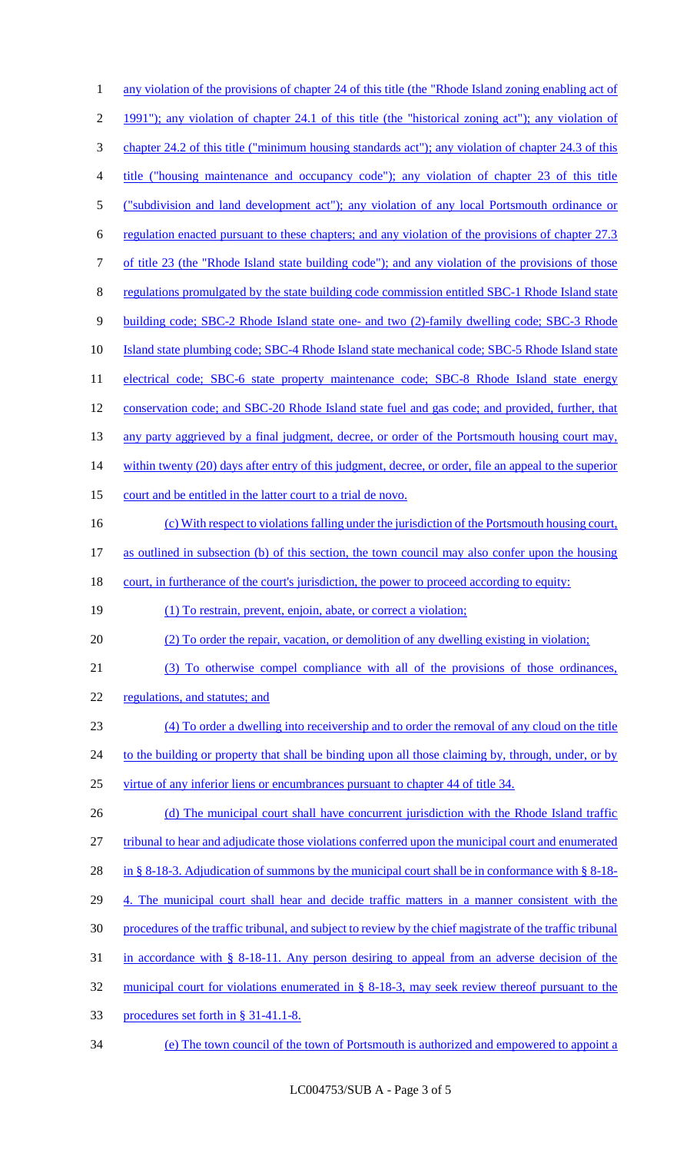| 1                    | any violation of the provisions of chapter 24 of this title (the "Rhode Island zoning enabling act of     |
|----------------------|-----------------------------------------------------------------------------------------------------------|
| $\overline{2}$       | 1991"); any violation of chapter 24.1 of this title (the "historical zoning act"); any violation of       |
| 3                    | chapter 24.2 of this title ("minimum housing standards act"); any violation of chapter 24.3 of this       |
| 4                    | title ("housing maintenance and occupancy code"); any violation of chapter 23 of this title               |
| 5                    | ("subdivision and land development act"); any violation of any local Portsmouth ordinance or              |
| 6                    | regulation enacted pursuant to these chapters; and any violation of the provisions of chapter 27.3        |
| 7                    | of title 23 (the "Rhode Island state building code"); and any violation of the provisions of those        |
| 8                    | regulations promulgated by the state building code commission entitled SBC-1 Rhode Island state           |
| 9                    | building code; SBC-2 Rhode Island state one- and two (2)-family dwelling code; SBC-3 Rhode                |
| 10                   | Island state plumbing code; SBC-4 Rhode Island state mechanical code; SBC-5 Rhode Island state            |
| 11                   | electrical code; SBC-6 state property maintenance code; SBC-8 Rhode Island state energy                   |
| 12                   | conservation code; and SBC-20 Rhode Island state fuel and gas code; and provided, further, that           |
| 13                   | any party aggrieved by a final judgment, decree, or order of the Portsmouth housing court may,            |
| 14                   | within twenty (20) days after entry of this judgment, decree, or order, file an appeal to the superior    |
| 15                   | court and be entitled in the latter court to a trial de novo.                                             |
| 16                   | (c) With respect to violations falling under the jurisdiction of the Portsmouth housing court,            |
| 17                   | as outlined in subsection (b) of this section, the town council may also confer upon the housing          |
|                      |                                                                                                           |
|                      | court, in furtherance of the court's jurisdiction, the power to proceed according to equity:              |
|                      | (1) To restrain, prevent, enjoin, abate, or correct a violation;                                          |
|                      | (2) To order the repair, vacation, or demolition of any dwelling existing in violation;                   |
| 18<br>19<br>20<br>21 | (3) To otherwise compel compliance with all of the provisions of those ordinances,                        |
| 22                   | regulations, and statutes; and                                                                            |
| 23                   | (4) To order a dwelling into receivership and to order the removal of any cloud on the title              |
| 24                   | to the building or property that shall be binding upon all those claiming by, through, under, or by       |
| 25                   | virtue of any inferior liens or encumbrances pursuant to chapter 44 of title 34.                          |
| 26                   | (d) The municipal court shall have concurrent jurisdiction with the Rhode Island traffic                  |
| 27                   | tribunal to hear and adjudicate those violations conferred upon the municipal court and enumerated        |
| 28                   | in § 8-18-3. Adjudication of summons by the municipal court shall be in conformance with § 8-18-          |
| 29                   | 4. The municipal court shall hear and decide traffic matters in a manner consistent with the              |
| 30                   | procedures of the traffic tribunal, and subject to review by the chief magistrate of the traffic tribunal |
| 31                   | in accordance with $\S$ 8-18-11. Any person desiring to appeal from an adverse decision of the            |
| 32                   | municipal court for violations enumerated in § 8-18-3, may seek review thereof pursuant to the            |
| 33                   | procedures set forth in § 31-41.1-8.                                                                      |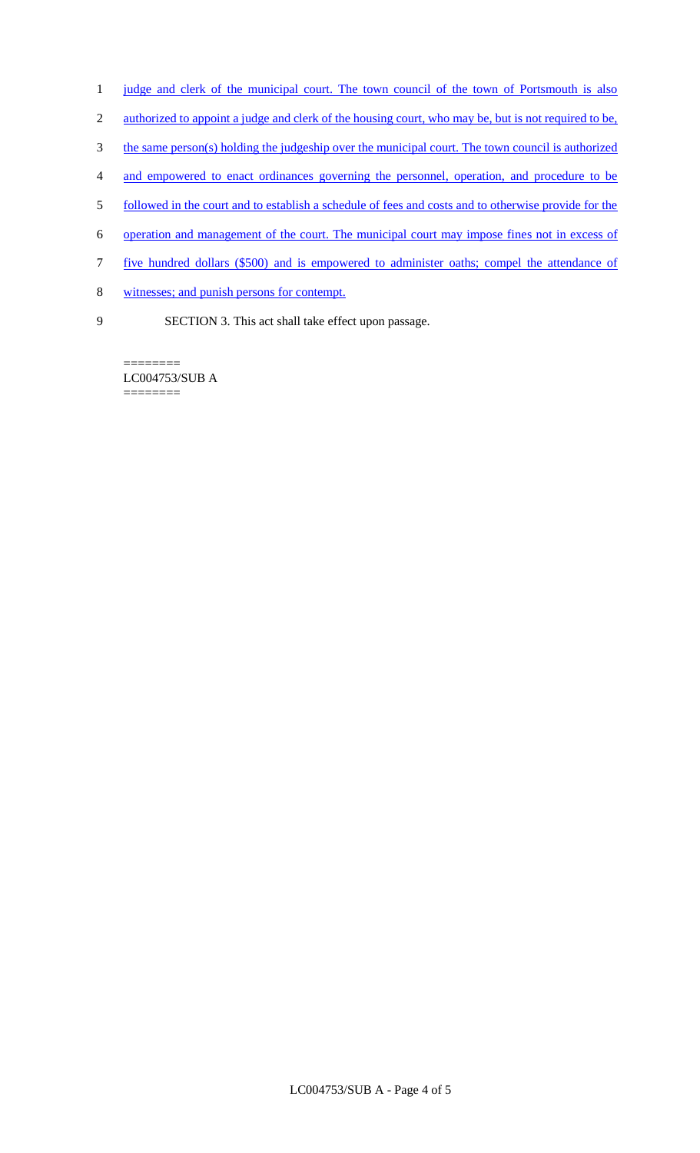- 1 judge and clerk of the municipal court. The town council of the town of Portsmouth is also
- 2 authorized to appoint a judge and clerk of the housing court, who may be, but is not required to be,
- 3 the same person(s) holding the judgeship over the municipal court. The town council is authorized
- 4 and empowered to enact ordinances governing the personnel, operation, and procedure to be
- 5 followed in the court and to establish a schedule of fees and costs and to otherwise provide for the
- 6 operation and management of the court. The municipal court may impose fines not in excess of
- 7 five hundred dollars (\$500) and is empowered to administer oaths; compel the attendance of
- 8 witnesses; and punish persons for contempt.
- 9 SECTION 3. This act shall take effect upon passage.

LC004753/SUB A ========

========